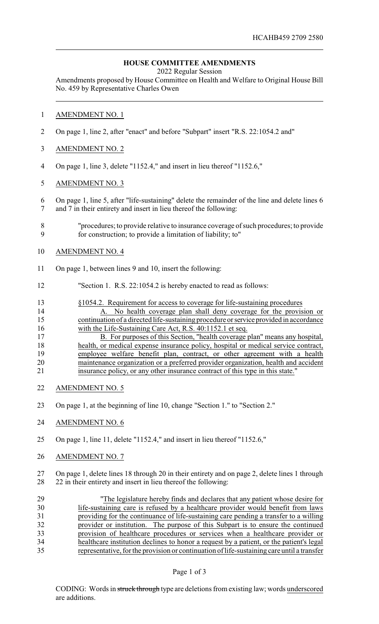## **HOUSE COMMITTEE AMENDMENTS**

2022 Regular Session

Amendments proposed by House Committee on Health and Welfare to Original House Bill No. 459 by Representative Charles Owen

## AMENDMENT NO. 1

- On page 1, line 2, after "enact" and before "Subpart" insert "R.S. 22:1054.2 and"
- AMENDMENT NO. 2
- On page 1, line 3, delete "1152.4," and insert in lieu thereof "1152.6,"
- AMENDMENT NO. 3
- On page 1, line 5, after "life-sustaining" delete the remainder of the line and delete lines 6 and 7 in their entirety and insert in lieu thereof the following:
- "procedures; to provide relative to insurance coverage of such procedures; to provide for construction; to provide a limitation of liability; to"
- AMENDMENT NO. 4
- On page 1, between lines 9 and 10, insert the following:
- "Section 1. R.S. 22:1054.2 is hereby enacted to read as follows:
- §1054.2. Requirement for access to coverage for life-sustaining procedures
- A. No health coverage plan shall deny coverage for the provision or continuation of a directed life-sustaining procedure or service provided in accordance 16 with the Life-Sustaining Care Act, R.S. 40:1152.1 et seq.
- 17 B. For purposes of this Section, "health coverage plan" means any hospital, health, or medical expense insurance policy, hospital or medical service contract, 19 employee welfare benefit plan, contract, or other agreement with a health maintenance organization or a preferred provider organization, health and accident insurance policy, or any other insurance contract of this type in this state."
- AMENDMENT NO. 5
- On page 1, at the beginning of line 10, change "Section 1." to "Section 2."
- AMENDMENT NO. 6
- On page 1, line 11, delete "1152.4," and insert in lieu thereof "1152.6,"
- AMENDMENT NO. 7

 On page 1, delete lines 18 through 20 in their entirety and on page 2, delete lines 1 through 22 in their entirety and insert in lieu thereof the following:

| 29 | "The legislature hereby finds and declares that any patient whose desire for               |
|----|--------------------------------------------------------------------------------------------|
| 30 | life-sustaining care is refused by a healthcare provider would benefit from laws           |
| 31 | providing for the continuance of life-sustaining care pending a transfer to a willing      |
| 32 | provider or institution. The purpose of this Subpart is to ensure the continued            |
| 33 | provision of healthcare procedures or services when a healthcare provider or               |
| 34 | healthcare institution declines to honor a request by a patient, or the patient's legal    |
| 35 | representative, for the provision or continuation of life-sustaining care until a transfer |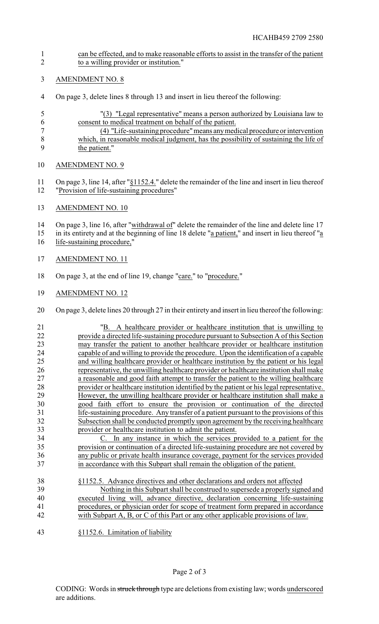- can be effected, and to make reasonable efforts to assist in the transfer of the patient to a willing provider or institution."
- AMENDMENT NO. 8
- On page 3, delete lines 8 through 13 and insert in lieu thereof the following:
- "(3) "Legal representative" means a person authorized by Louisiana law to consent to medical treatment on behalf of the patient.
- (4) "Life-sustaining procedure"means anymedical procedure or intervention which, in reasonable medical judgment, has the possibility of sustaining the life of 9 the patient."
- AMENDMENT NO. 9
- On page 3, line 14, after "§1152.4." delete the remainder of the line and insert in lieu thereof "Provision of life-sustaining procedures"
- AMENDMENT NO. 10

14 On page 3, line 16, after "withdrawal of" delete the remainder of the line and delete line 17

- in its entirety and at the beginning of line 18 delete "a patient," and insert in lieu thereof "a
- 16 life-sustaining procedure,"
- AMENDMENT NO. 11
- On page 3, at the end of line 19, change "care." to "procedure."
- AMENDMENT NO. 12
- On page 3, delete lines 20 through 27 in their entirety and insert in lieu thereof the following:
- "B. A healthcare provider or healthcare institution that is unwilling to 22 provide a directed life-sustaining procedure pursuant to Subsection A of this Section<br>23 may transfer the patient to another healthcare provider or healthcare institution 23 may transfer the patient to another healthcare provider or healthcare institution<br>24 canable of and willing to provide the procedure Upon the identification of a canable 24 capable of and willing to provide the procedure. Upon the identification of a capable<br>25 and willing healthcare provider or healthcare institution by the patient or his legal and willing healthcare provider or healthcare institution by the patient or his legal 26 representative, the unwilling healthcare provider or healthcare institution shall make<br>27 a reasonable and good faith attempt to transfer the patient to the willing healthcare a reasonable and good faith attempt to transfer the patient to the willing healthcare provider or healthcare institution identified by the patient or his legal representative. 29 However, the unwilling healthcare provider or healthcare institution shall make a 30 good faith effort to ensure the provision or continuation of the directed good faith effort to ensure the provision or continuation of the directed life-sustaining procedure. Any transfer of a patient pursuant to the provisions of this Subsection shall be conducted promptly upon agreement by the receiving healthcare provider or healthcare institution to admit the patient. C. In any instance in which the services provided to a patient for the provision or continuation of a directed life-sustaining procedure are not covered by any public or private health insurance coverage, payment for the services provided
- in accordance with this Subpart shall remain the obligation of the patient.
- §1152.5. Advance directives and other declarations and orders not affected Nothing in this Subpart shall be construed to supersede a properly signed and executed living will, advance directive, declaration concerning life-sustaining procedures, or physician order for scope of treatment form prepared in accordance with Subpart A, B, or C of this Part or any other applicable provisions of law.
- §1152.6. Limitation of liability